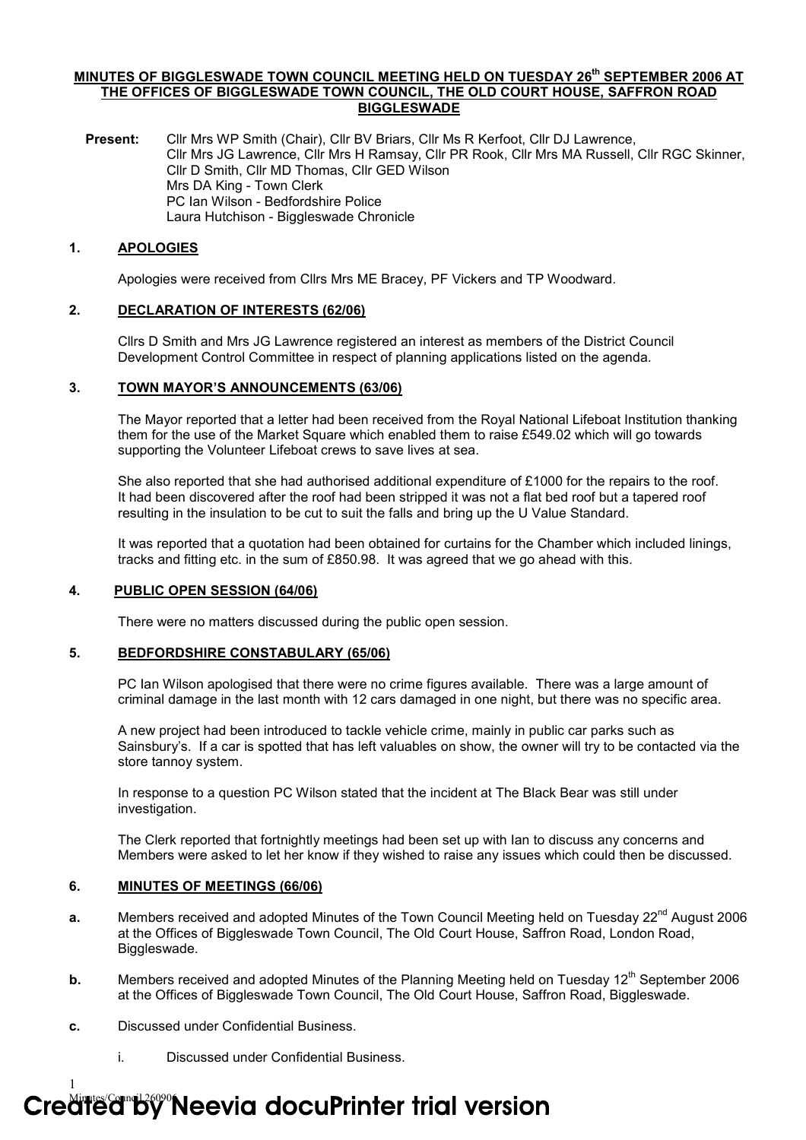## MINUTES OF BIGGLESWADE TOWN COUNCIL MEETING HELD ON TUESDAY 26<sup>th</sup> SEPTEMBER 2006 AT THE OFFICES OF BIGGLESWADE TOWN COUNCIL, THE OLD COURT HOUSE, SAFFRON ROAD BIGGLESWADE

Present: Cllr Mrs WP Smith (Chair), Cllr BV Briars, Cllr Ms R Kerfoot, Cllr DJ Lawrence, Cllr Mrs JG Lawrence, Cllr Mrs H Ramsay, Cllr PR Rook, Cllr Mrs MA Russell, Cllr RGC Skinner, Cllr D Smith, Cllr MD Thomas, Cllr GED Wilson Mrs DA King - Town Clerk PC Ian Wilson - Bedfordshire Police Laura Hutchison - Biggleswade Chronicle

## 1. APOLOGIES

Apologies were received from Cllrs Mrs ME Bracey, PF Vickers and TP Woodward.

## 2. DECLARATION OF INTERESTS (62/06)

Cllrs D Smith and Mrs JG Lawrence registered an interest as members of the District Council Development Control Committee in respect of planning applications listed on the agenda.

## 3. TOWN MAYOR'S ANNOUNCEMENTS (63/06)

The Mayor reported that a letter had been received from the Royal National Lifeboat Institution thanking them for the use of the Market Square which enabled them to raise £549.02 which will go towards supporting the Volunteer Lifeboat crews to save lives at sea.

She also reported that she had authorised additional expenditure of £1000 for the repairs to the roof. It had been discovered after the roof had been stripped it was not a flat bed roof but a tapered roof resulting in the insulation to be cut to suit the falls and bring up the U Value Standard.

It was reported that a quotation had been obtained for curtains for the Chamber which included linings, tracks and fitting etc. in the sum of £850.98. It was agreed that we go ahead with this.

# 4. PUBLIC OPEN SESSION (64/06)

There were no matters discussed during the public open session.

#### 5. BEDFORDSHIRE CONSTABULARY (65/06)

PC Ian Wilson apologised that there were no crime figures available. There was a large amount of criminal damage in the last month with 12 cars damaged in one night, but there was no specific area.

A new project had been introduced to tackle vehicle crime, mainly in public car parks such as Sainsbury's. If a car is spotted that has left valuables on show, the owner will try to be contacted via the store tannoy system.

In response to a question PC Wilson stated that the incident at The Black Bear was still under investigation.

The Clerk reported that fortnightly meetings had been set up with Ian to discuss any concerns and Members were asked to let her know if they wished to raise any issues which could then be discussed.

### 6. MINUTES OF MEETINGS (66/06)

- a. Members received and adopted Minutes of the Town Council Meeting held on Tuesday  $22^{nd}$  August 2006 at the Offices of Biggleswade Town Council, The Old Court House, Saffron Road, London Road, Biggleswade.
- **b.** Members received and adopted Minutes of the Planning Meeting held on Tuesday  $12<sup>th</sup>$  September 2006 at the Offices of Biggleswade Town Council, The Old Court House, Saffron Road, Biggleswade.
- c. Discussed under Confidential Business.

1

i. Discussed under Confidential Business.

# Credited by Neevia docuPrinter trial version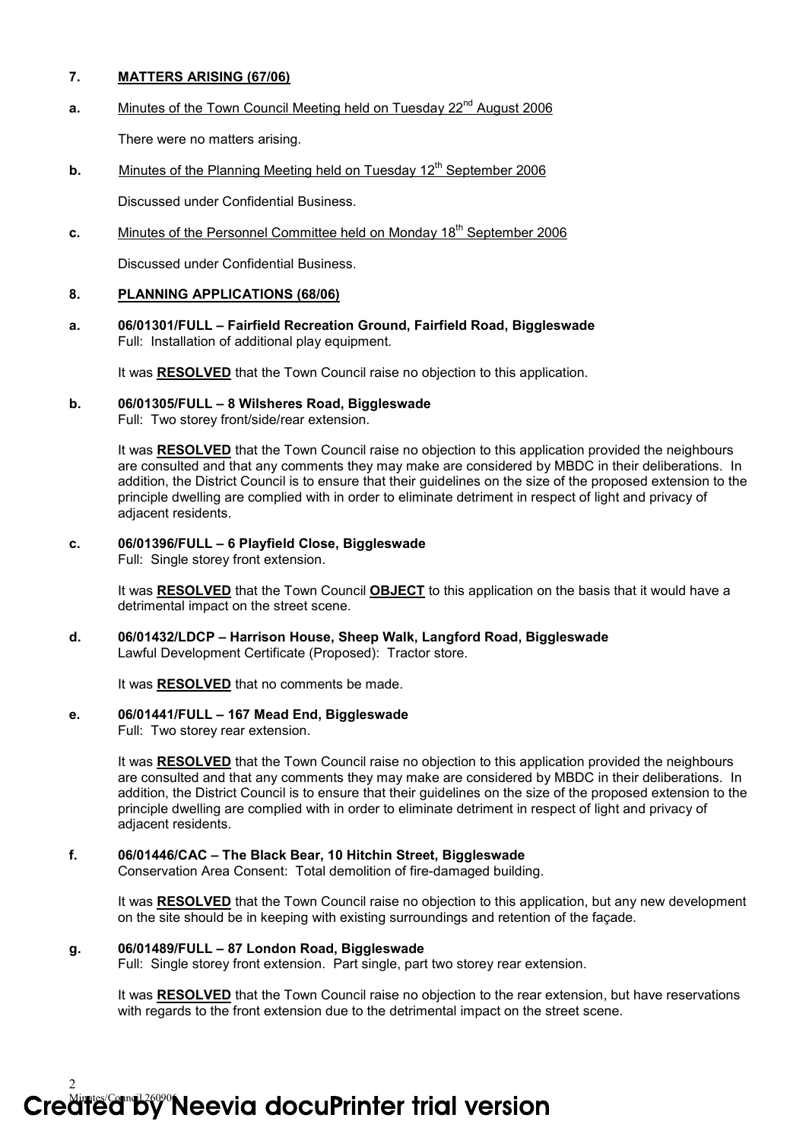# 7. MATTERS ARISING (67/06)

a. Minutes of the Town Council Meeting held on Tuesday 22<sup>nd</sup> August 2006

There were no matters arising.

**b.** Minutes of the Planning Meeting held on Tuesday  $12<sup>th</sup>$  September 2006

Discussed under Confidential Business.

c. Minutes of the Personnel Committee held on Monday 18<sup>th</sup> September 2006

Discussed under Confidential Business.

# 8. PLANNING APPLICATIONS (68/06)

a. 06/01301/FULL – Fairfield Recreation Ground, Fairfield Road, Biggleswade Full: Installation of additional play equipment.

It was RESOLVED that the Town Council raise no objection to this application.

# b. 06/01305/FULL – 8 Wilsheres Road, Biggleswade

Full: Two storey front/side/rear extension.

It was RESOLVED that the Town Council raise no objection to this application provided the neighbours are consulted and that any comments they may make are considered by MBDC in their deliberations. In addition, the District Council is to ensure that their guidelines on the size of the proposed extension to the principle dwelling are complied with in order to eliminate detriment in respect of light and privacy of adjacent residents.

# c. 06/01396/FULL – 6 Playfield Close, Biggleswade

Full: Single storey front extension.

It was RESOLVED that the Town Council OBJECT to this application on the basis that it would have a detrimental impact on the street scene.

d. 06/01432/LDCP – Harrison House, Sheep Walk, Langford Road, Biggleswade Lawful Development Certificate (Proposed): Tractor store.

It was RESOLVED that no comments be made.

# e. 06/01441/FULL – 167 Mead End, Biggleswade

Full: Two storey rear extension.

It was RESOLVED that the Town Council raise no objection to this application provided the neighbours are consulted and that any comments they may make are considered by MBDC in their deliberations. In addition, the District Council is to ensure that their guidelines on the size of the proposed extension to the principle dwelling are complied with in order to eliminate detriment in respect of light and privacy of adjacent residents.

# f. 06/01446/CAC – The Black Bear, 10 Hitchin Street, Biggleswade

Conservation Area Consent: Total demolition of fire-damaged building.

It was RESOLVED that the Town Council raise no objection to this application, but any new development on the site should be in keeping with existing surroundings and retention of the façade.

# g. 06/01489/FULL – 87 London Road, Biggleswade

Full: Single storey front extension. Part single, part two storey rear extension.

It was RESOLVED that the Town Council raise no objection to the rear extension, but have reservations with regards to the front extension due to the detrimental impact on the street scene.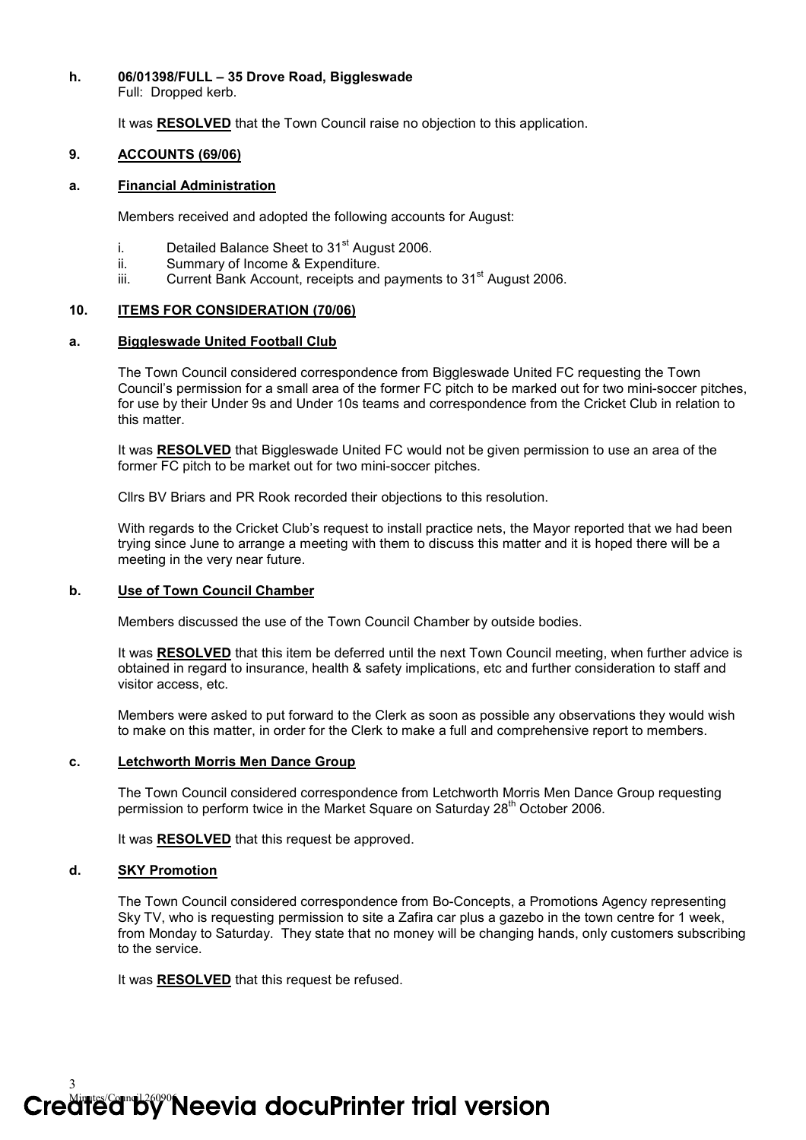## h. 06/01398/FULL – 35 Drove Road, Biggleswade

Full: Dropped kerb.

It was RESOLVED that the Town Council raise no objection to this application.

## 9. ACCOUNTS (69/06)

#### a. Financial Administration

Members received and adopted the following accounts for August:

- i. Detailed Balance Sheet to  $31<sup>st</sup>$  August 2006.
- ii. Summary of Income & Expenditure.
- iii. Current Bank Account, receipts and payments to  $31<sup>st</sup>$  August 2006.

# 10. ITEMS FOR CONSIDERATION (70/06)

## a. Biggleswade United Football Club

The Town Council considered correspondence from Biggleswade United FC requesting the Town Council's permission for a small area of the former FC pitch to be marked out for two mini-soccer pitches, for use by their Under 9s and Under 10s teams and correspondence from the Cricket Club in relation to this matter.

It was RESOLVED that Biggleswade United FC would not be given permission to use an area of the former FC pitch to be market out for two mini-soccer pitches.

Cllrs BV Briars and PR Rook recorded their objections to this resolution.

With regards to the Cricket Club's request to install practice nets, the Mayor reported that we had been trying since June to arrange a meeting with them to discuss this matter and it is hoped there will be a meeting in the very near future.

# b. Use of Town Council Chamber

Members discussed the use of the Town Council Chamber by outside bodies.

It was RESOLVED that this item be deferred until the next Town Council meeting, when further advice is obtained in regard to insurance, health & safety implications, etc and further consideration to staff and visitor access, etc.

Members were asked to put forward to the Clerk as soon as possible any observations they would wish to make on this matter, in order for the Clerk to make a full and comprehensive report to members.

#### c. Letchworth Morris Men Dance Group

The Town Council considered correspondence from Letchworth Morris Men Dance Group requesting permission to perform twice in the Market Square on Saturday 28<sup>th</sup> October 2006.

It was RESOLVED that this request be approved.

## d. SKY Promotion

3

The Town Council considered correspondence from Bo-Concepts, a Promotions Agency representing Sky TV, who is requesting permission to site a Zafira car plus a gazebo in the town centre for 1 week, from Monday to Saturday. They state that no money will be changing hands, only customers subscribing to the service.

It was **RESOLVED** that this request be refused.

Credited By Neevia docuPrinter trial version